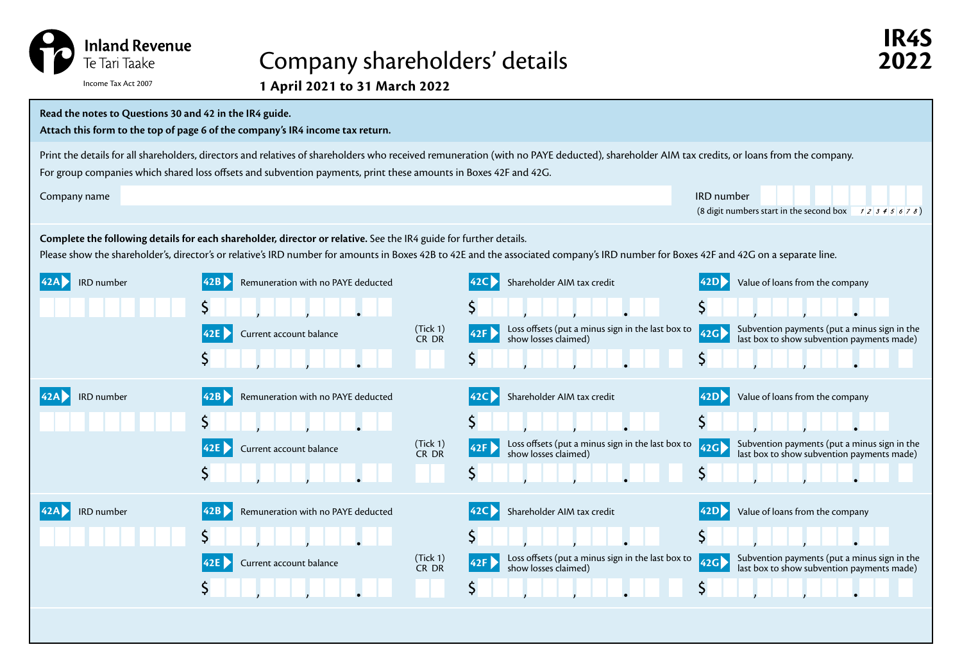

## Company shareholders' details **2022**

| Read the notes to Questions 30 and 42 in the IR4 guide.<br>Attach this form to the top of page 6 of the company's IR4 income tax return.                                                                                                                                                                       |                                            |                   |                                                                                  |                                                                                                                         |
|----------------------------------------------------------------------------------------------------------------------------------------------------------------------------------------------------------------------------------------------------------------------------------------------------------------|--------------------------------------------|-------------------|----------------------------------------------------------------------------------|-------------------------------------------------------------------------------------------------------------------------|
| Print the details for all shareholders, directors and relatives of shareholders who received remuneration (with no PAYE deducted), shareholder AIM tax credits, or loans from the company.<br>For group companies which shared loss offsets and subvention payments, print these amounts in Boxes 42F and 42G. |                                            |                   |                                                                                  |                                                                                                                         |
| Company name                                                                                                                                                                                                                                                                                                   |                                            |                   |                                                                                  | IRD number<br>(8 digit numbers start in the second box $\begin{array}{c c} 7 & 2 & 3 & 4 & 5 & 6 & 7 & 8 \end{array}$ ) |
| Complete the following details for each shareholder, director or relative. See the IR4 guide for further details.<br>Please show the shareholder's, director's or relative's IRD number for amounts in Boxes 42B to 42E and the associated company's IRD number for Boxes 42F and 42G on a separate line.      |                                            |                   |                                                                                  |                                                                                                                         |
| IRD number<br>142A I                                                                                                                                                                                                                                                                                           | 42B<br>Remuneration with no PAYE deducted  |                   | Shareholder AIM tax credit<br>42C                                                | Value of loans from the company<br>42D                                                                                  |
|                                                                                                                                                                                                                                                                                                                |                                            |                   | Ş                                                                                | \$                                                                                                                      |
|                                                                                                                                                                                                                                                                                                                | Current account balance<br>42E             | (Tick 1)<br>CR DR | Loss offsets (put a minus sign in the last box to<br>42F<br>show losses claimed) | Subvention payments (put a minus sign in the<br>42G<br>last box to show subvention payments made)                       |
|                                                                                                                                                                                                                                                                                                                |                                            |                   | Ş                                                                                | \$                                                                                                                      |
| IRD number                                                                                                                                                                                                                                                                                                     | Remuneration with no PAYE deducted<br> 42B |                   | Shareholder AIM tax credit<br><b>42C</b>                                         | 42D <br>Value of loans from the company                                                                                 |
|                                                                                                                                                                                                                                                                                                                |                                            |                   | Ş                                                                                | Ş                                                                                                                       |
|                                                                                                                                                                                                                                                                                                                | 42E<br>Current account balance             | (Tick 1)<br>CR DR | Loss offsets (put a minus sign in the last box to<br>42F<br>show losses claimed) | Subvention payments (put a minus sign in the<br>42G)<br>last box to show subvention payments made)                      |
|                                                                                                                                                                                                                                                                                                                | Ş                                          |                   | Ş                                                                                | S                                                                                                                       |
| IRD number                                                                                                                                                                                                                                                                                                     | Remuneration with no PAYE deducted<br>42B  |                   | Shareholder AIM tax credit                                                       | Value of loans from the company<br> 42D                                                                                 |
|                                                                                                                                                                                                                                                                                                                |                                            |                   |                                                                                  | \$                                                                                                                      |
|                                                                                                                                                                                                                                                                                                                | Current account balance                    | (Tick 1)<br>CR DR | Loss offsets (put a minus sign in the last box to<br>42F<br>show losses claimed) | Subvention payments (put a minus sign in the<br>42G<br>last box to show subvention payments made)                       |
|                                                                                                                                                                                                                                                                                                                |                                            |                   | Ş                                                                                | S                                                                                                                       |